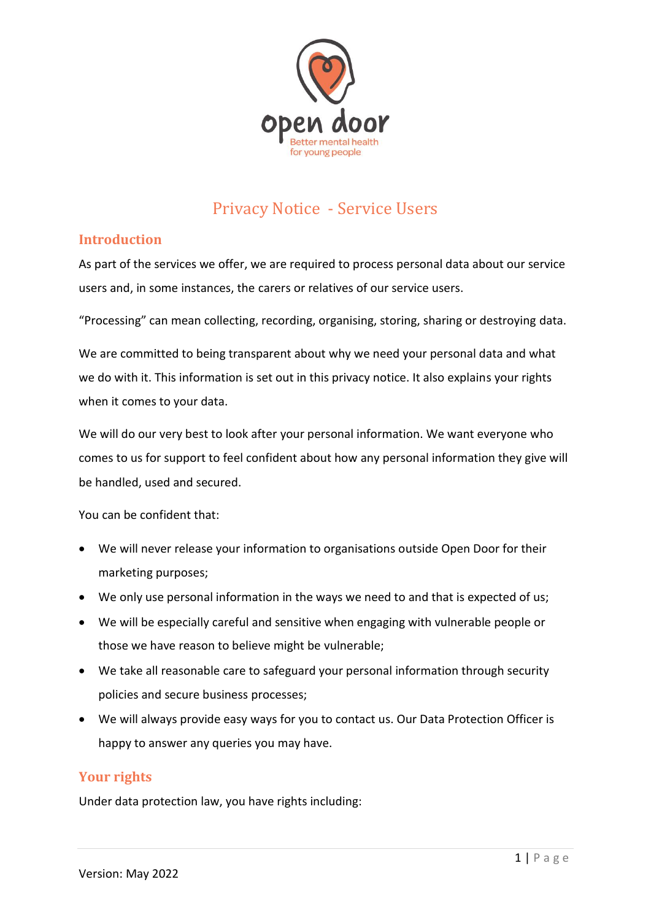

# Privacy Notice - Service Users

# **Introduction**

As part of the services we offer, we are required to process personal data about our service users and, in some instances, the carers or relatives of our service users.

"Processing" can mean collecting, recording, organising, storing, sharing or destroying data.

We are committed to being transparent about why we need your personal data and what we do with it. This information is set out in this privacy notice. It also explains your rights when it comes to your data.

We will do our very best to look after your personal information. We want everyone who comes to us for support to feel confident about how any personal information they give will be handled, used and secured.

You can be confident that:

- We will never release your information to organisations outside Open Door for their marketing purposes;
- We only use personal information in the ways we need to and that is expected of us;
- We will be especially careful and sensitive when engaging with vulnerable people or those we have reason to believe might be vulnerable;
- We take all reasonable care to safeguard your personal information through security policies and secure business processes;
- We will always provide easy ways for you to contact us. Our Data Protection Officer is happy to answer any queries you may have.

# **Your rights**

Under data protection law, you have rights including: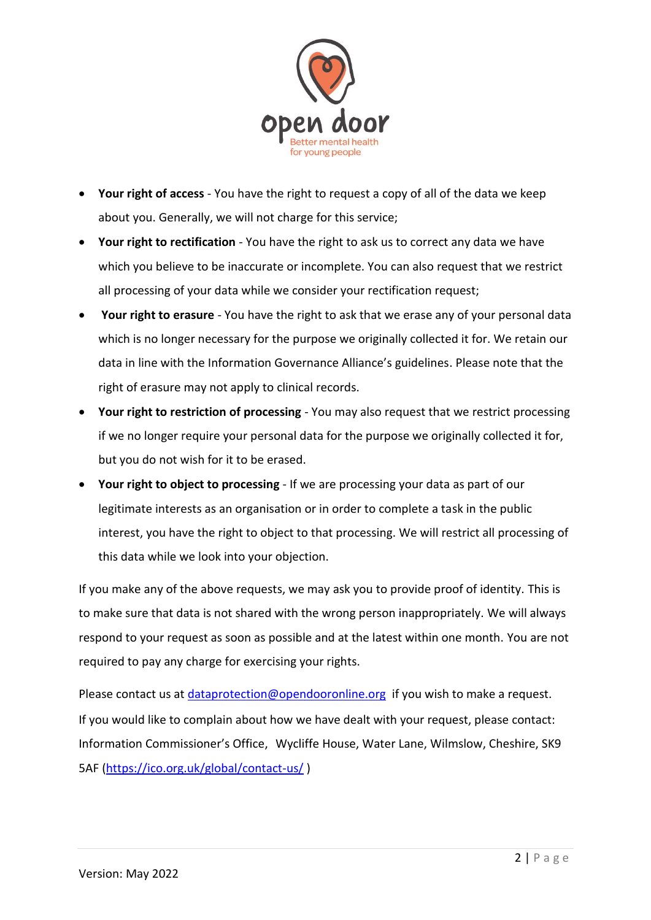

- **Your right of access** You have the right to request a copy of all of the data we keep about you. Generally, we will not charge for this service;
- **Your right to rectification** You have the right to ask us to correct any data we have which you believe to be inaccurate or incomplete. You can also request that we restrict all processing of your data while we consider your rectification request;
- **Your right to erasure** You have the right to ask that we erase any of your personal data which is no longer necessary for the purpose we originally collected it for. We retain our data in line with the Information Governance Alliance's guidelines. Please note that the right of erasure may not apply to clinical records.
- **Your right to restriction of processing** You may also request that we restrict processing if we no longer require your personal data for the purpose we originally collected it for, but you do not wish for it to be erased.
- **Your right to object to processing** If we are processing your data as part of our legitimate interests as an organisation or in order to complete a task in the public interest, you have the right to object to that processing. We will restrict all processing of this data while we look into your objection.

If you make any of the above requests, we may ask you to provide proof of identity. This is to make sure that data is not shared with the wrong person inappropriately. We will always respond to your request as soon as possible and at the latest within one month. You are not required to pay any charge for exercising your rights.

Please contact us at [dataprotection@opendooronline.org](mailto:dataprotectionofficer@opendooronline.org) if you wish to make a request. If you would like to complain about how we have dealt with your request, please contact: Information Commissioner's Office, Wycliffe House, Water Lane, Wilmslow, Cheshire, SK9 5AF [\(https://ico.org.uk/global/contact-us/](https://ico.org.uk/global/contact-us/) )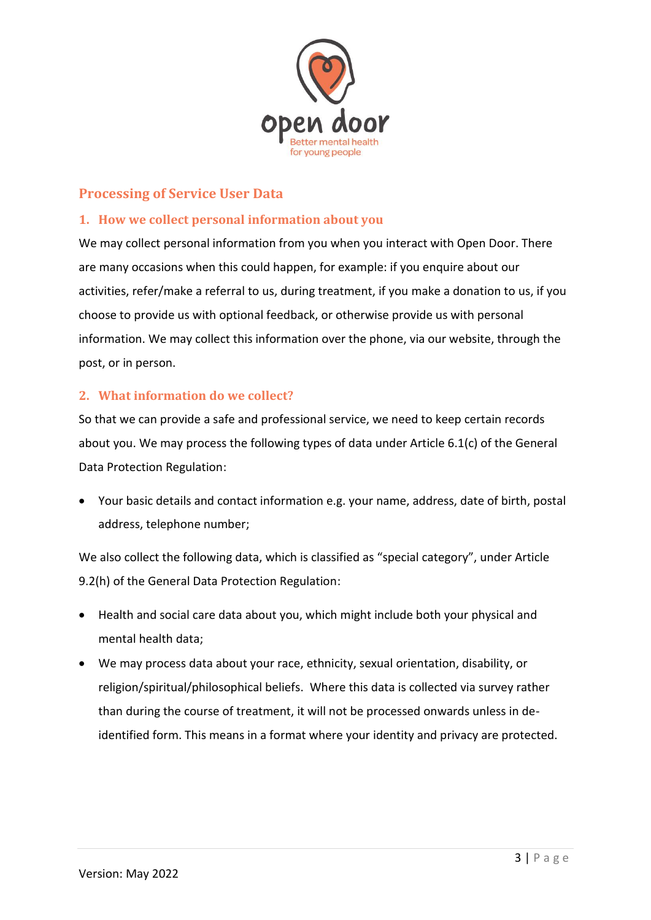

# **Processing of Service User Data**

### **1. How we collect personal information about you**

We may collect personal information from you when you interact with Open Door. There are many occasions when this could happen, for example: if you enquire about our activities, refer/make a referral to us, during treatment, if you make a donation to us, if you choose to provide us with optional feedback, or otherwise provide us with personal information. We may collect this information over the phone, via our website, through the post, or in person.

# **2. What information do we collect?**

So that we can provide a safe and professional service, we need to keep certain records about you. We may process the following types of data under Article 6.1(c) of the General Data Protection Regulation:

• Your basic details and contact information e.g. your name, address, date of birth, postal address, telephone number;

We also collect the following data, which is classified as "special category", under Article 9.2(h) of the General Data Protection Regulation:

- Health and social care data about you, which might include both your physical and mental health data;
- We may process data about your race, ethnicity, sexual orientation, disability, or religion/spiritual/philosophical beliefs. Where this data is collected via survey rather than during the course of treatment, it will not be processed onwards unless in deidentified form. This means in a format where your identity and privacy are protected.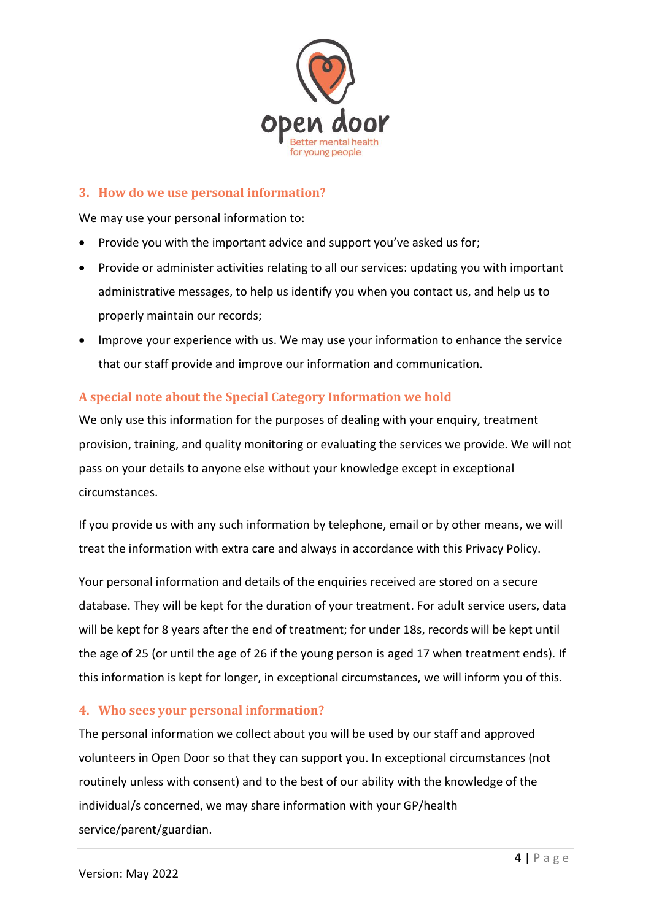

#### **3. How do we use personal information?**

We may use your personal information to:

- Provide you with the important advice and support you've asked us for;
- Provide or administer activities relating to all our services: updating you with important administrative messages, to help us identify you when you contact us, and help us to properly maintain our records;
- Improve your experience with us. We may use your information to enhance the service that our staff provide and improve our information and communication.

#### **A special note about the Special Category Information we hold**

We only use this information for the purposes of dealing with your enquiry, treatment provision, training, and quality monitoring or evaluating the services we provide. We will not pass on your details to anyone else without your knowledge except in exceptional circumstances.

If you provide us with any such information by telephone, email or by other means, we will treat the information with extra care and always in accordance with this Privacy Policy.

Your personal information and details of the enquiries received are stored on a secure database. They will be kept for the duration of your treatment. For adult service users, data will be kept for 8 years after the end of treatment; for under 18s, records will be kept until the age of 25 (or until the age of 26 if the young person is aged 17 when treatment ends). If this information is kept for longer, in exceptional circumstances, we will inform you of this.

#### **4. Who sees your personal information?**

The personal information we collect about you will be used by our staff and approved volunteers in Open Door so that they can support you. In exceptional circumstances (not routinely unless with consent) and to the best of our ability with the knowledge of the individual/s concerned, we may share information with your GP/health service/parent/guardian.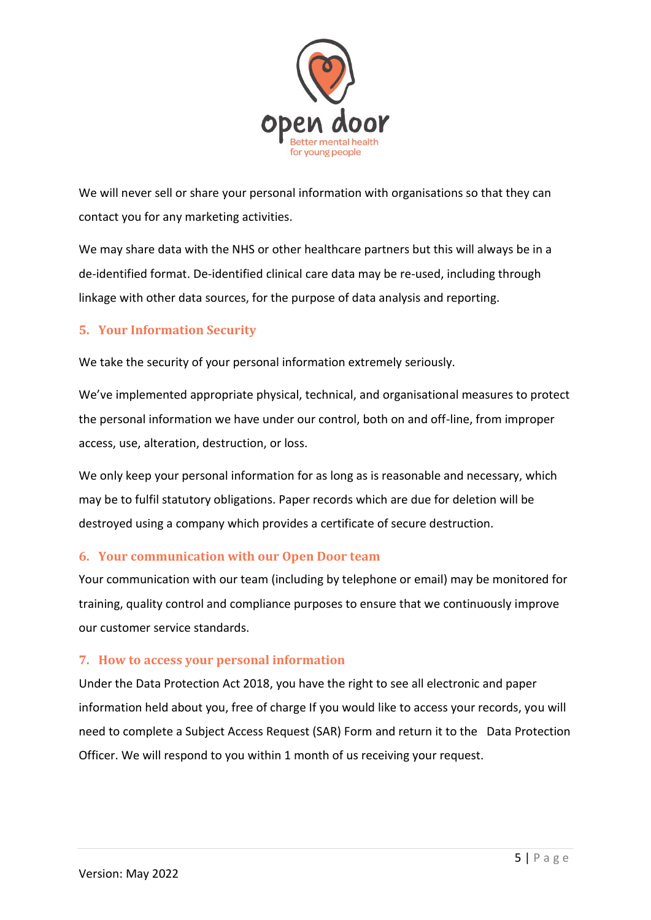

We will never sell or share your personal information with organisations so that they can contact you for any marketing activities.

We may share data with the NHS or other healthcare partners but this will always be in a de-identified format. De-identified clinical care data may be re-used, including through linkage with other data sources, for the purpose of data analysis and reporting.

# **5. Your Information Security**

We take the security of your personal information extremely seriously.

We've implemented appropriate physical, technical, and organisational measures to protect the personal information we have under our control, both on and off-line, from improper access, use, alteration, destruction, or loss.

We only keep your personal information for as long as is reasonable and necessary, which may be to fulfil statutory obligations. Paper records which are due for deletion will be destroyed using a company which provides a certificate of secure destruction.

# **6. Your communication with our Open Door team**

Your communication with our team (including by telephone or email) may be monitored for training, quality control and compliance purposes to ensure that we continuously improve our customer service standards.

# **7. How to access your personal information**

Under the Data Protection Act 2018, you have the right to see all electronic and paper information held about you, free of charge If you would like to access your records, you will need to complete a Subject Access Request (SAR) Form and return it to the Data Protection Officer. We will respond to you within 1 month of us receiving your request.